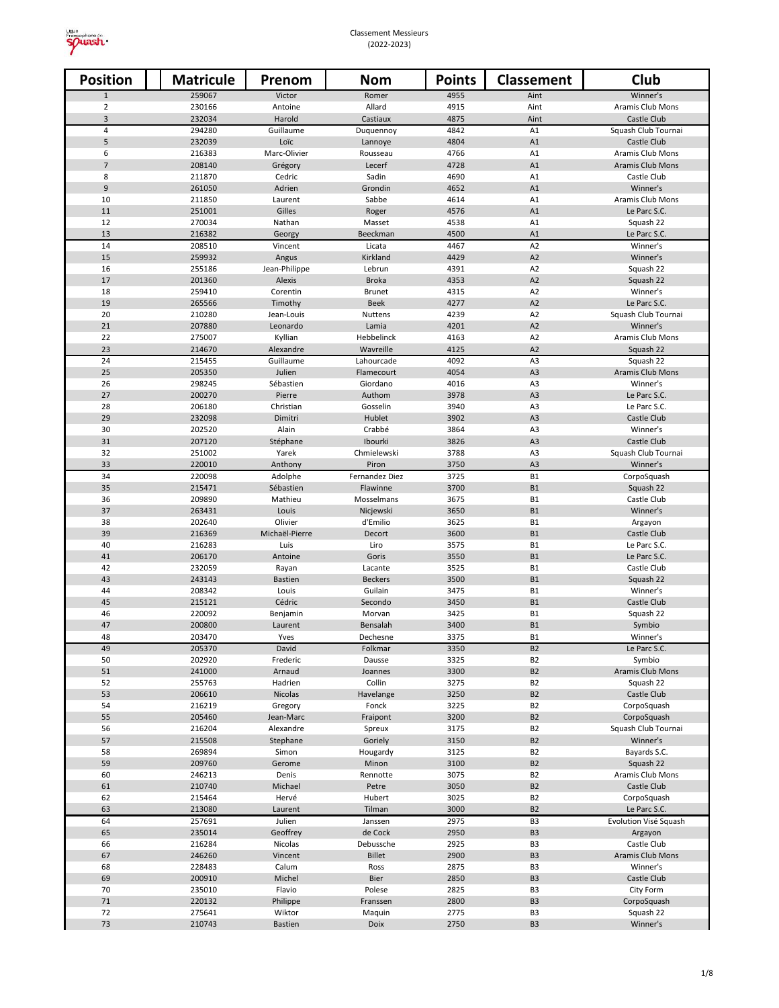

| <b>Position</b>     | <b>Matricule</b> | Prenom                    | <b>Nom</b>              | <b>Points</b> | Classement                       | Club                                  |
|---------------------|------------------|---------------------------|-------------------------|---------------|----------------------------------|---------------------------------------|
| $\mathbf{1}$        | 259067           | Victor                    | Romer                   | 4955          | Aint                             | Winner's                              |
| $\overline{2}$      | 230166           | Antoine                   | Allard                  | 4915          | Aint                             | Aramis Club Mons                      |
| 3                   | 232034           | Harold                    | Castiaux                | 4875          | Aint                             | Castle Club                           |
| $\overline{4}$<br>5 | 294280<br>232039 | Guillaume<br>Loïc         | Duquennoy               | 4842<br>4804  | A1<br>A1                         | Squash Club Tournai<br>Castle Club    |
| 6                   | 216383           | Marc-Olivier              | Lannoye<br>Rousseau     | 4766          | A1                               | Aramis Club Mons                      |
| $\overline{7}$      | 208140           | Grégory                   | Lecerf                  | 4728          | A1                               | Aramis Club Mons                      |
| 8                   | 211870           | Cedric                    | Sadin                   | 4690          | A1                               | Castle Club                           |
| $\boldsymbol{9}$    | 261050           | Adrien                    | Grondin                 | 4652          | A1                               | Winner's                              |
| 10                  | 211850           | Laurent                   | Sabbe                   | 4614          | A1                               | Aramis Club Mons                      |
| 11                  | 251001           | Gilles                    | Roger                   | 4576          | A1                               | Le Parc S.C.                          |
| 12                  | 270034           | Nathan                    | Masset                  | 4538          | A1                               | Squash 22                             |
| 13<br>14            | 216382<br>208510 | Georgy<br>Vincent         | Beeckman<br>Licata      | 4500<br>4467  | A1<br>A <sub>2</sub>             | Le Parc S.C.<br>Winner's              |
| 15                  | 259932           | Angus                     | Kirkland                | 4429          | A2                               | Winner's                              |
| 16                  | 255186           | Jean-Philippe             | Lebrun                  | 4391          | A <sub>2</sub>                   | Squash 22                             |
| 17                  | 201360           | Alexis                    | <b>Broka</b>            | 4353          | A2                               | Squash 22                             |
| 18                  | 259410           | Corentin                  | <b>Brunet</b>           | 4315          | A <sub>2</sub>                   | Winner's                              |
| 19                  | 265566           | Timothy                   | <b>Beek</b>             | 4277          | A2                               | Le Parc S.C.                          |
| 20                  | 210280           | Jean-Louis                | Nuttens                 | 4239          | A <sub>2</sub>                   | Squash Club Tournai                   |
| 21                  | 207880           | Leonardo                  | Lamia                   | 4201          | A2                               | Winner's                              |
| 22<br>23            | 275007<br>214670 | Kyllian<br>Alexandre      | Hebbelinck<br>Wavreille | 4163<br>4125  | A <sub>2</sub><br>A2             | Aramis Club Mons<br>Squash 22         |
| 24                  | 215455           | Guillaume                 | Lahourcade              | 4092          | A <sub>3</sub>                   | Squash 22                             |
| 25                  | 205350           | Julien                    | Flamecourt              | 4054          | A <sub>3</sub>                   | Aramis Club Mons                      |
| 26                  | 298245           | Sébastien                 | Giordano                | 4016          | A3                               | Winner's                              |
| 27                  | 200270           | Pierre                    | Authom                  | 3978          | A <sub>3</sub>                   | Le Parc S.C.                          |
| 28                  | 206180           | Christian                 | Gosselin                | 3940          | A3                               | Le Parc S.C.                          |
| 29                  | 232098           | Dimitri                   | Hublet                  | 3902          | A <sub>3</sub>                   | Castle Club                           |
| 30<br>31            | 202520<br>207120 | Alain<br>Stéphane         | Crabbé<br>Ibourki       | 3864<br>3826  | A3<br>A <sub>3</sub>             | Winner's<br>Castle Club               |
| 32                  | 251002           | Yarek                     | Chmielewski             | 3788          | A3                               | Squash Club Tournai                   |
| 33                  | 220010           | Anthony                   | Piron                   | 3750          | A3                               | Winner's                              |
| 34                  | 220098           | Adolphe                   | Fernandez Diez          | 3725          | <b>B1</b>                        | CorpoSquash                           |
| 35                  | 215471           | Sébastien                 | Flawinne                | 3700          | <b>B1</b>                        | Squash 22                             |
| 36                  | 209890           | Mathieu                   | Mosselmans              | 3675          | <b>B1</b>                        | Castle Club                           |
| 37                  | 263431           | Louis                     | Nicjewski               | 3650          | <b>B1</b>                        | Winner's                              |
| 38<br>39            | 202640<br>216369 | Olivier<br>Michaël-Pierre | d'Emilio<br>Decort      | 3625<br>3600  | <b>B1</b><br><b>B1</b>           | Argayon<br>Castle Club                |
| 40                  | 216283           | Luis                      | Liro                    | 3575          | <b>B1</b>                        | Le Parc S.C.                          |
| 41                  | 206170           | Antoine                   | Goris                   | 3550          | <b>B1</b>                        | Le Parc S.C.                          |
| 42                  | 232059           | Rayan                     | Lacante                 | 3525          | <b>B1</b>                        | Castle Club                           |
| 43                  | 243143           | <b>Bastien</b>            | <b>Beckers</b>          | 3500          | <b>B1</b>                        | Squash 22                             |
| 44                  | 208342           | Louis                     | Guilain                 | 3475          | <b>B1</b>                        | Winner's                              |
| 45                  | 215121           | Cédric                    | Secondo                 | 3450          | <b>B1</b>                        | Castle Club                           |
| 46<br>47            | 220092<br>200800 | Benjamin<br>Laurent       | Morvan<br>Bensalah      | 3425<br>3400  | <b>B1</b><br><b>B1</b>           | Squash 22                             |
| 48                  | 203470           | Yves                      | Dechesne                | 3375          | <b>B1</b>                        | Symbio<br>Winner's                    |
| 49                  | 205370           | David                     | Folkmar                 | 3350          | B <sub>2</sub>                   | Le Parc S.C.                          |
| 50                  | 202920           | Frederic                  | Dausse                  | 3325          | B <sub>2</sub>                   | Symbio                                |
| 51                  | 241000           | Arnaud                    | Joannes                 | 3300          | <b>B2</b>                        | Aramis Club Mons                      |
| 52                  | 255763           | Hadrien                   | Collin                  | 3275          | B <sub>2</sub>                   | Squash 22                             |
| 53                  | 206610           | Nicolas                   | Havelange               | 3250          | <b>B2</b>                        | Castle Club                           |
| 54<br>55            | 216219<br>205460 | Gregory<br>Jean-Marc      | Fonck                   | 3225<br>3200  | B <sub>2</sub><br><b>B2</b>      | CorpoSquash<br>CorpoSquash            |
| 56                  | 216204           | Alexandre                 | Fraipont<br>Spreux      | 3175          | B <sub>2</sub>                   | Squash Club Tournai                   |
| 57                  | 215508           | Stephane                  | Goriely                 | 3150          | B <sub>2</sub>                   | Winner's                              |
| 58                  | 269894           | Simon                     | Hougardy                | 3125          | B <sub>2</sub>                   | Bayards S.C.                          |
| 59                  | 209760           | Gerome                    | Minon                   | 3100          | <b>B2</b>                        | Squash 22                             |
| 60                  | 246213           | Denis                     | Rennotte                | 3075          | B <sub>2</sub>                   | Aramis Club Mons                      |
| 61                  | 210740           | Michael                   | Petre                   | 3050          | B <sub>2</sub>                   | Castle Club                           |
| 62                  | 215464           | Hervé                     | Hubert                  | 3025          | B <sub>2</sub>                   | CorpoSquash                           |
| 63<br>64            | 213080<br>257691 | Laurent<br>Julien         | Tilman<br>Janssen       | 3000<br>2975  | B <sub>2</sub><br>B <sub>3</sub> | Le Parc S.C.<br>Evolution Visé Squash |
| 65                  | 235014           | Geoffrey                  | de Cock                 | 2950          | B <sub>3</sub>                   | Argayon                               |
| 66                  | 216284           | Nicolas                   | Debussche               | 2925          | B <sub>3</sub>                   | Castle Club                           |
| 67                  | 246260           | Vincent                   | Billet                  | 2900          | B <sub>3</sub>                   | Aramis Club Mons                      |
| 68                  | 228483           | Calum                     | Ross                    | 2875          | B <sub>3</sub>                   | Winner's                              |
| 69                  | 200910           | Michel                    | <b>Bier</b>             | 2850          | B <sub>3</sub>                   | Castle Club                           |
| 70                  | 235010           | Flavio                    | Polese                  | 2825          | B <sub>3</sub>                   | City Form                             |
| 71                  | 220132           | Philippe                  | Franssen                | 2800          | B <sub>3</sub>                   | CorpoSquash                           |
| 72<br>73            | 275641<br>210743 | Wiktor<br><b>Bastien</b>  | Maquin<br>Doix          | 2775<br>2750  | B <sub>3</sub><br>B <sub>3</sub> | Squash 22<br>Winner's                 |
|                     |                  |                           |                         |               |                                  |                                       |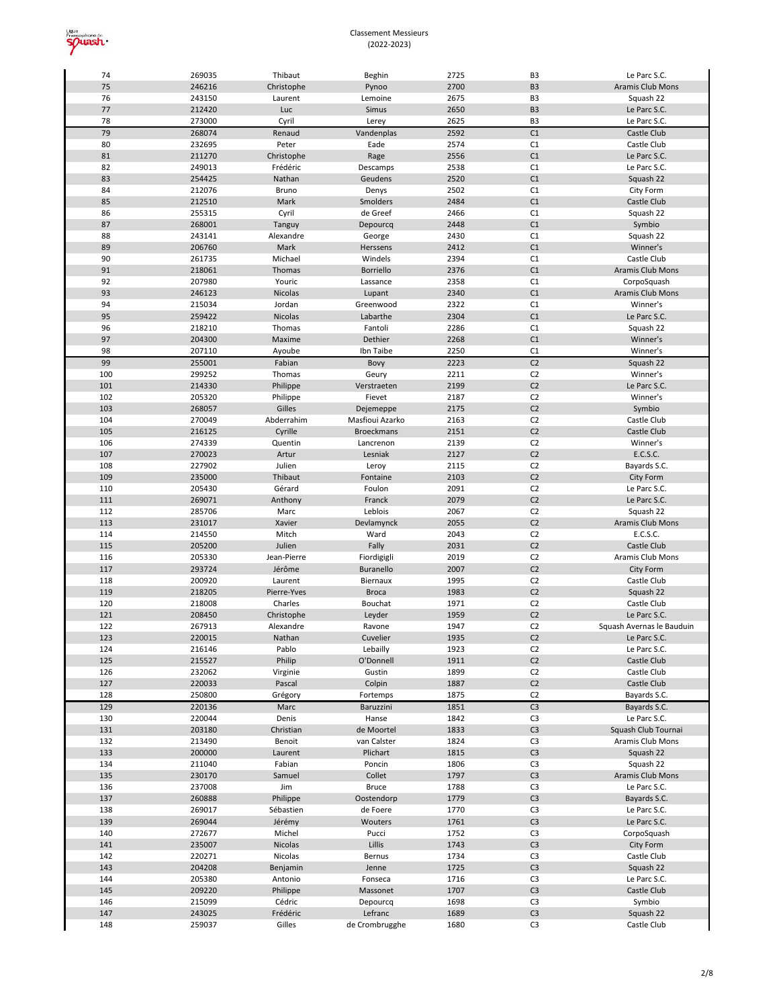

| 74  | 269035 | Thibaut     | Beghin            | 2725 | B <sub>3</sub> | Le Parc S.C.              |
|-----|--------|-------------|-------------------|------|----------------|---------------------------|
| 75  | 246216 | Christophe  | Pynoo             | 2700 | B <sub>3</sub> | Aramis Club Mons          |
| 76  | 243150 | Laurent     | Lemoine           | 2675 | B <sub>3</sub> | Squash 22                 |
| 77  | 212420 | Luc         | Simus             | 2650 | B <sub>3</sub> | Le Parc S.C.              |
| 78  | 273000 | Cyril       | Lerey             | 2625 | B <sub>3</sub> | Le Parc S.C.              |
| 79  | 268074 | Renaud      | Vandenplas        | 2592 | C1             | Castle Club               |
| 80  | 232695 | Peter       | Eade              | 2574 | C1             | Castle Club               |
| 81  | 211270 | Christophe  | Rage              | 2556 | C1             | Le Parc S.C.              |
| 82  | 249013 | Frédéric    | Descamps          | 2538 | C1             | Le Parc S.C.              |
| 83  | 254425 | Nathan      | Geudens           | 2520 | C1             | Squash 22                 |
| 84  | 212076 | Bruno       | Denys             | 2502 | C1             | City Form                 |
| 85  | 212510 | Mark        | Smolders          | 2484 | C1             | Castle Club               |
| 86  | 255315 | Cyril       | de Greef          | 2466 | C1             | Squash 22                 |
| 87  | 268001 | Tanguy      | Depourcq          | 2448 | C1             | Symbio                    |
| 88  | 243141 | Alexandre   | George            | 2430 | C1             | Squash 22                 |
| 89  | 206760 | Mark        | Herssens          | 2412 | C1             | Winner's                  |
| 90  | 261735 | Michael     | Windels           | 2394 | C1             | Castle Club               |
| 91  | 218061 | Thomas      | <b>Borriello</b>  | 2376 | C1             | Aramis Club Mons          |
| 92  | 207980 | Youric      | Lassance          | 2358 | C1             | CorpoSquash               |
| 93  | 246123 | Nicolas     | Lupant            | 2340 | C1             | Aramis Club Mons          |
| 94  | 215034 | Jordan      | Greenwood         | 2322 | C1             | Winner's                  |
| 95  | 259422 | Nicolas     | Labarthe          | 2304 | C1             | Le Parc S.C.              |
| 96  | 218210 | Thomas      | Fantoli           | 2286 | C1             | Squash 22                 |
| 97  | 204300 | Maxime      | Dethier           | 2268 | C1             | Winner's                  |
| 98  | 207110 | Ayoube      | Ibn Taibe         | 2250 | C1             | Winner's                  |
| 99  | 255001 | Fabian      | Bovy              | 2223 | C <sub>2</sub> | Squash 22                 |
| 100 | 299252 | Thomas      | Geury             | 2211 | C <sub>2</sub> | Winner's                  |
| 101 | 214330 | Philippe    | Verstraeten       | 2199 | C <sub>2</sub> | Le Parc S.C.              |
| 102 | 205320 | Philippe    | Fievet            | 2187 | C <sub>2</sub> | Winner's                  |
| 103 | 268057 | Gilles      | Dejemeppe         | 2175 | C <sub>2</sub> | Symbio                    |
| 104 | 270049 | Abderrahim  | Masfioui Azarko   | 2163 | C <sub>2</sub> | Castle Club               |
| 105 | 216125 | Cyrille     | <b>Broeckmans</b> | 2151 | C <sub>2</sub> | Castle Club               |
| 106 | 274339 | Quentin     | Lancrenon         | 2139 | C <sub>2</sub> | Winner's                  |
| 107 | 270023 | Artur       | Lesniak           | 2127 | C <sub>2</sub> | E.C.S.C.                  |
| 108 | 227902 | Julien      | Leroy             | 2115 | C <sub>2</sub> | Bayards S.C.              |
| 109 | 235000 | Thibaut     | Fontaine          | 2103 | C <sub>2</sub> | City Form                 |
| 110 | 205430 | Gérard      | Foulon            | 2091 | C <sub>2</sub> | Le Parc S.C.              |
| 111 | 269071 | Anthony     | Franck            | 2079 | C <sub>2</sub> | Le Parc S.C.              |
| 112 | 285706 | Marc        | Leblois           | 2067 | C <sub>2</sub> | Squash 22                 |
| 113 | 231017 | Xavier      | Devlamynck        | 2055 | C <sub>2</sub> | Aramis Club Mons          |
| 114 | 214550 | Mitch       | Ward              | 2043 | C <sub>2</sub> | E.C.S.C.                  |
| 115 | 205200 | Julien      | Fally             | 2031 | C <sub>2</sub> | Castle Club               |
| 116 | 205330 | Jean-Pierre | Fiordigigli       | 2019 | C <sub>2</sub> | Aramis Club Mons          |
| 117 | 293724 | Jérôme      | Buranello         | 2007 | C <sub>2</sub> | City Form                 |
| 118 | 200920 | Laurent     | Biernaux          | 1995 | C <sub>2</sub> | Castle Club               |
| 119 | 218205 | Pierre-Yves | <b>Broca</b>      | 1983 | C <sub>2</sub> | Squash 22                 |
| 120 | 218008 | Charles     | Bouchat           | 1971 | C <sub>2</sub> | Castle Club               |
| 121 | 208450 | Christophe  | Leyder            | 1959 | C <sub>2</sub> | Le Parc S.C.              |
| 122 | 267913 | Alexandre   | Ravone            | 1947 | C <sub>2</sub> | Squash Avernas le Bauduin |
| 123 | 220015 | Nathan      | Cuvelier          | 1935 | C <sub>2</sub> | Le Parc S.C.              |
| 124 | 216146 | Pablo       | Lebailly          | 1923 | C <sub>2</sub> | Le Parc S.C.              |
| 125 | 215527 | Philip      | O'Donnell         | 1911 | C <sub>2</sub> | Castle Club               |
| 126 | 232062 | Virginie    | Gustin            | 1899 | C <sub>2</sub> | Castle Club               |
| 127 | 220033 | Pascal      | Colpin            | 1887 | C <sub>2</sub> | Castle Club               |
| 128 | 250800 | Grégory     | Fortemps          | 1875 | C <sub>2</sub> | Bayards S.C.              |
| 129 | 220136 | Marc        | Baruzzini         | 1851 | C <sub>3</sub> | Bayards S.C.              |
| 130 | 220044 | Denis       | Hanse             | 1842 | C <sub>3</sub> | Le Parc S.C.              |
| 131 | 203180 | Christian   | de Moortel        | 1833 | C <sub>3</sub> | Squash Club Tournai       |
| 132 | 213490 | Benoit      | van Calster       | 1824 | C <sub>3</sub> | Aramis Club Mons          |
| 133 | 200000 | Laurent     | Plichart          | 1815 | C <sub>3</sub> | Squash 22                 |
| 134 | 211040 | Fabian      | Poncin            | 1806 | C <sub>3</sub> | Squash 22                 |
| 135 | 230170 | Samuel      | Collet            | 1797 | C <sub>3</sub> | Aramis Club Mons          |
| 136 | 237008 | Jim         | <b>Bruce</b>      | 1788 | C <sub>3</sub> | Le Parc S.C.              |
| 137 | 260888 | Philippe    | Oostendorp        | 1779 | C <sub>3</sub> | Bayards S.C.              |
| 138 | 269017 | Sébastien   | de Foere          | 1770 | C <sub>3</sub> | Le Parc S.C.              |
| 139 | 269044 | Jérémy      | Wouters           | 1761 | C <sub>3</sub> | Le Parc S.C.              |
| 140 | 272677 | Michel      | Pucci             | 1752 | C <sub>3</sub> | CorpoSquash               |
| 141 | 235007 | Nicolas     | Lillis            | 1743 | C <sub>3</sub> | City Form                 |
| 142 | 220271 | Nicolas     | Bernus            | 1734 | C <sub>3</sub> | Castle Club               |
| 143 | 204208 | Benjamin    | Jenne             | 1725 | C <sub>3</sub> | Squash 22                 |
| 144 | 205380 | Antonio     | Fonseca           | 1716 | C <sub>3</sub> | Le Parc S.C.              |
| 145 | 209220 | Philippe    | Massonet          | 1707 | C <sub>3</sub> | Castle Club               |
| 146 | 215099 | Cédric      | Depourcq          | 1698 | C <sub>3</sub> | Symbio                    |
| 147 | 243025 | Frédéric    | Lefranc           | 1689 | C <sub>3</sub> | Squash 22                 |
| 148 | 259037 | Gilles      | de Crombrugghe    | 1680 | C <sub>3</sub> | Castle Club               |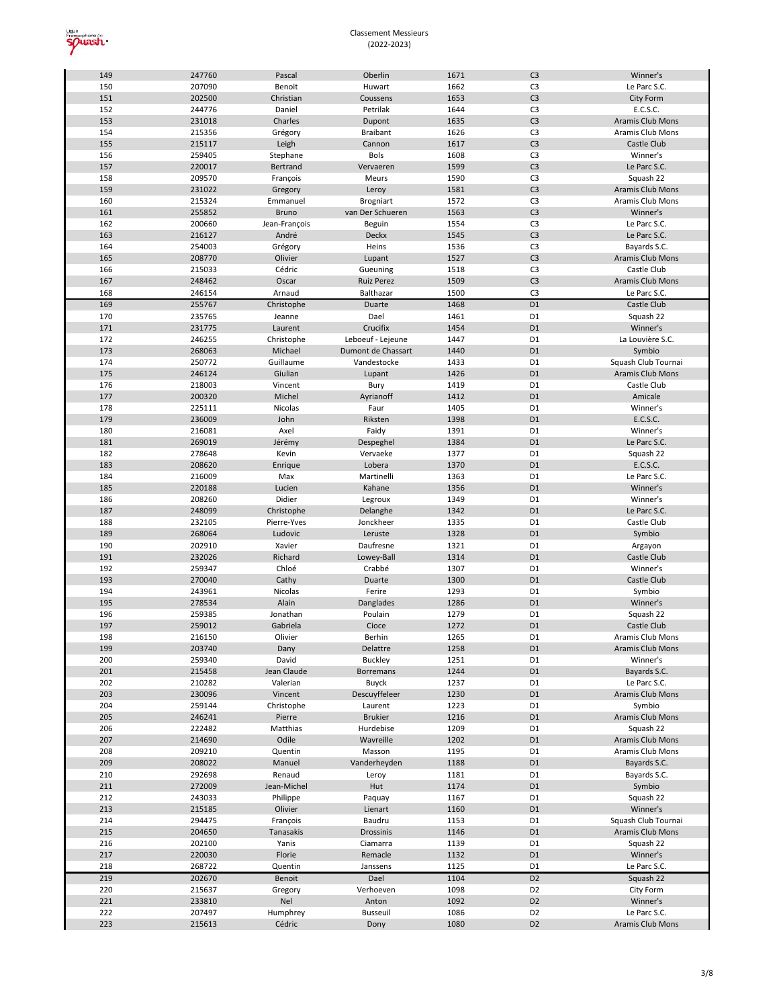

| 149 | 247760 | Pascal        | Oberlin            | 1671 | C <sub>3</sub> | Winner's            |
|-----|--------|---------------|--------------------|------|----------------|---------------------|
| 150 | 207090 | Benoit        | Huwart             | 1662 | C <sub>3</sub> | Le Parc S.C.        |
| 151 | 202500 | Christian     | Coussens           | 1653 | C <sub>3</sub> | City Form           |
| 152 | 244776 | Daniel        | Petrilak           | 1644 | C <sub>3</sub> | E.C.S.C.            |
| 153 | 231018 | Charles       | Dupont             | 1635 | C <sub>3</sub> | Aramis Club Mons    |
| 154 | 215356 | Grégory       | <b>Braibant</b>    | 1626 | C <sub>3</sub> | Aramis Club Mons    |
| 155 | 215117 | Leigh         | Cannon             | 1617 | C <sub>3</sub> | Castle Club         |
| 156 | 259405 | Stephane      | <b>Bols</b>        | 1608 | C <sub>3</sub> | Winner's            |
| 157 | 220017 | Bertrand      | Vervaeren          | 1599 | C <sub>3</sub> | Le Parc S.C.        |
| 158 | 209570 | François      | Meurs              | 1590 | C <sub>3</sub> | Squash 22           |
| 159 | 231022 | Gregory       | Leroy              | 1581 | C <sub>3</sub> | Aramis Club Mons    |
| 160 | 215324 | Emmanuel      | <b>Brogniart</b>   | 1572 | C <sub>3</sub> | Aramis Club Mons    |
| 161 | 255852 | Bruno         | van Der Schueren   | 1563 | C <sub>3</sub> | Winner's            |
|     |        |               |                    |      | C <sub>3</sub> |                     |
| 162 | 200660 | Jean-François | Beguin             | 1554 |                | Le Parc S.C.        |
| 163 | 216127 | André         | Deckx              | 1545 | C <sub>3</sub> | Le Parc S.C.        |
| 164 | 254003 | Grégory       | Heins              | 1536 | C <sub>3</sub> | Bayards S.C.        |
| 165 | 208770 | Olivier       | Lupant             | 1527 | C <sub>3</sub> | Aramis Club Mons    |
| 166 | 215033 | Cédric        | Gueuning           | 1518 | C <sub>3</sub> | Castle Club         |
| 167 | 248462 | Oscar         | <b>Ruiz Perez</b>  | 1509 | C <sub>3</sub> | Aramis Club Mons    |
| 168 | 246154 | Arnaud        | Balthazar          | 1500 | C <sub>3</sub> | Le Parc S.C.        |
| 169 | 255767 | Christophe    | Duarte             | 1468 | D <sub>1</sub> | Castle Club         |
| 170 | 235765 | Jeanne        | Dael               | 1461 | D <sub>1</sub> | Squash 22           |
| 171 | 231775 | Laurent       | Crucifix           | 1454 | D <sub>1</sub> | Winner's            |
| 172 | 246255 | Christophe    | Leboeuf - Lejeune  | 1447 | D <sub>1</sub> | La Louvière S.C.    |
| 173 | 268063 | Michael       | Dumont de Chassart | 1440 | D <sub>1</sub> | Symbio              |
| 174 | 250772 | Guillaume     | Vandestocke        | 1433 | D <sub>1</sub> | Squash Club Tournai |
| 175 | 246124 | Giulian       | Lupant             | 1426 | D <sub>1</sub> | Aramis Club Mons    |
| 176 | 218003 | Vincent       | Bury               | 1419 | D <sub>1</sub> | Castle Club         |
| 177 | 200320 | Michel        | Ayrianoff          | 1412 | D <sub>1</sub> | Amicale             |
| 178 | 225111 | Nicolas       | Faur               | 1405 | D <sub>1</sub> | Winner's            |
| 179 | 236009 | John          | Riksten            | 1398 | D <sub>1</sub> | E.C.S.C.            |
| 180 | 216081 | Axel          | Faidy              | 1391 | D <sub>1</sub> | Winner's            |
| 181 | 269019 | Jérémy        | Despeghel          | 1384 | D <sub>1</sub> | Le Parc S.C.        |
| 182 | 278648 | Kevin         | Vervaeke           | 1377 | D <sub>1</sub> | Squash 22           |
| 183 | 208620 | Enrique       | Lobera             | 1370 | D <sub>1</sub> | E.C.S.C.            |
| 184 | 216009 | Max           | Martinelli         | 1363 | D <sub>1</sub> | Le Parc S.C.        |
| 185 | 220188 | Lucien        | Kahane             | 1356 | D <sub>1</sub> | Winner's            |
| 186 | 208260 | Didier        |                    | 1349 | D <sub>1</sub> | Winner's            |
|     | 248099 |               | Legroux            |      | D <sub>1</sub> |                     |
| 187 |        | Christophe    | Delanghe           | 1342 | D <sub>1</sub> | Le Parc S.C.        |
| 188 | 232105 | Pierre-Yves   | Jonckheer          | 1335 |                | Castle Club         |
| 189 | 268064 | Ludovic       | Leruste            | 1328 | D <sub>1</sub> | Symbio              |
| 190 | 202910 | Xavier        | Daufresne          | 1321 | D <sub>1</sub> | Argayon             |
| 191 | 232026 | Richard       | Lowey-Ball         | 1314 | D <sub>1</sub> | Castle Club         |
| 192 | 259347 | Chloé         | Crabbé             | 1307 | D <sub>1</sub> | Winner's            |
| 193 | 270040 | Cathy         | Duarte             | 1300 | D <sub>1</sub> | Castle Club         |
| 194 | 243961 | Nicolas       | Ferire             | 1293 | D <sub>1</sub> | Symbio              |
| 195 | 278534 | Alain         | Danglades          | 1286 | D <sub>1</sub> | Winner's            |
| 196 | 259385 | Jonathan      | Poulain            | 1279 | D1             | Squash 22           |
| 197 | 259012 | Gabriela      | Cioce              | 1272 | D <sub>1</sub> | Castle Club         |
| 198 | 216150 | Olivier       | Berhin             | 1265 | D <sub>1</sub> | Aramis Club Mons    |
| 199 | 203740 | Dany          | Delattre           | 1258 | D <sub>1</sub> | Aramis Club Mons    |
| 200 | 259340 | David         | <b>Buckley</b>     | 1251 | D1             | Winner's            |
| 201 | 215458 | Jean Claude   | <b>Borremans</b>   | 1244 | D <sub>1</sub> | Bayards S.C.        |
| 202 | 210282 | Valerian      | <b>Buyck</b>       | 1237 | D1             | Le Parc S.C.        |
| 203 | 230096 | Vincent       | Descuyffeleer      | 1230 | D <sub>1</sub> | Aramis Club Mons    |
| 204 | 259144 | Christophe    | Laurent            | 1223 | D1             | Symbio              |
| 205 | 246241 | Pierre        | <b>Brukier</b>     | 1216 | D <sub>1</sub> | Aramis Club Mons    |
| 206 | 222482 | Matthias      | Hurdebise          | 1209 | D1             | Squash 22           |
| 207 | 214690 | Odile         | Wavreille          | 1202 | D <sub>1</sub> | Aramis Club Mons    |
| 208 | 209210 | Quentin       | Masson             | 1195 | D1             | Aramis Club Mons    |
| 209 | 208022 | Manuel        | Vanderheyden       | 1188 | D <sub>1</sub> | Bayards S.C.        |
| 210 | 292698 | Renaud        | Leroy              | 1181 | D <sub>1</sub> | Bayards S.C.        |
| 211 | 272009 | Jean-Michel   | Hut                | 1174 | D <sub>1</sub> | Symbio              |
| 212 | 243033 | Philippe      | Paquay             | 1167 | D1             | Squash 22           |
| 213 |        |               |                    | 1160 | D <sub>1</sub> | Winner's            |
|     | 215185 | Olivier       | Lienart            |      |                |                     |
| 214 | 294475 | François      | Baudru             | 1153 | D1             | Squash Club Tournai |
| 215 | 204650 | Tanasakis     | Drossinis          | 1146 | D <sub>1</sub> | Aramis Club Mons    |
| 216 | 202100 | Yanis         | Ciamarra           | 1139 | D1             | Squash 22           |
| 217 | 220030 | Florie        | Remacle            | 1132 | D1             | Winner's            |
| 218 | 268722 | Quentin       | Janssens           | 1125 | D1             | Le Parc S.C.        |
| 219 | 202670 | Benoit        | Dael               | 1104 | D <sub>2</sub> | Squash 22           |
| 220 | 215637 | Gregory       | Verhoeven          | 1098 | D <sub>2</sub> | City Form           |
| 221 | 233810 | Nel           | Anton              | 1092 | D <sub>2</sub> | Winner's            |
| 222 | 207497 | Humphrey      | <b>Busseuil</b>    | 1086 | D <sub>2</sub> | Le Parc S.C.        |
| 223 | 215613 | Cédric        | Dony               | 1080 | D <sub>2</sub> | Aramis Club Mons    |
|     |        |               |                    |      |                |                     |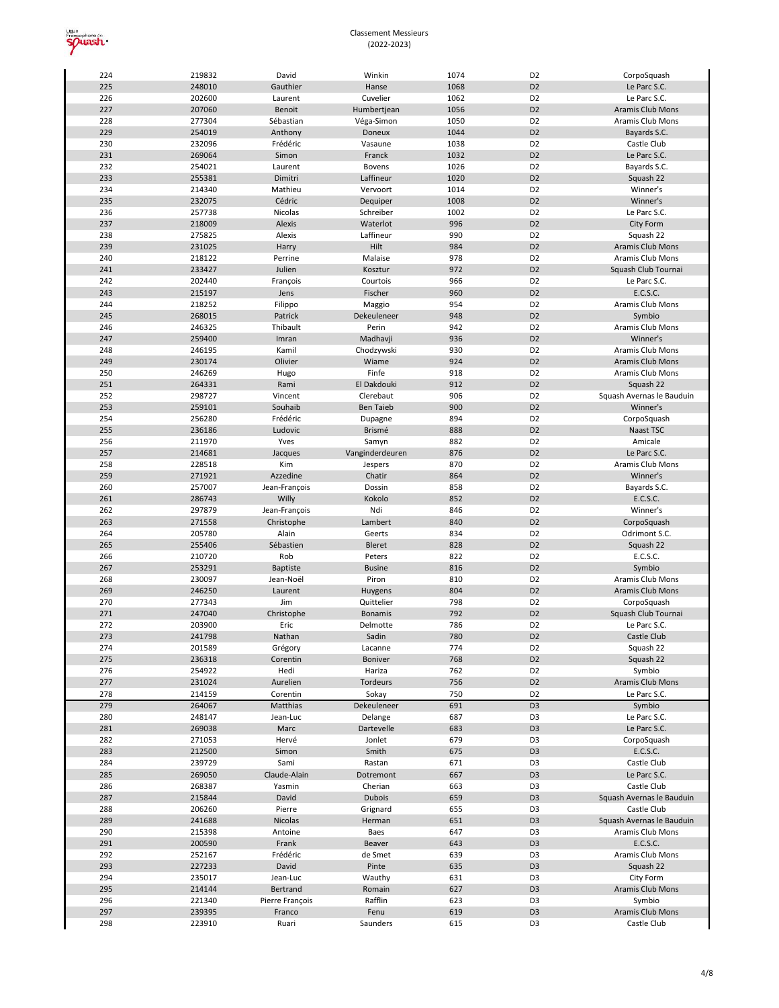

| 224 | 219832 | David           | Winkin           | 1074 | D <sub>2</sub> | CorpoSquash               |
|-----|--------|-----------------|------------------|------|----------------|---------------------------|
| 225 | 248010 | Gauthier        | Hanse            | 1068 | D <sub>2</sub> | Le Parc S.C.              |
| 226 | 202600 | Laurent         | Cuvelier         | 1062 | D <sub>2</sub> | Le Parc S.C.              |
| 227 | 207060 | Benoit          | Humbertjean      | 1056 | D <sub>2</sub> | Aramis Club Mons          |
| 228 | 277304 | Sébastian       | Véga-Simon       | 1050 | D <sub>2</sub> | Aramis Club Mons          |
| 229 | 254019 | Anthony         | Doneux           | 1044 | D <sub>2</sub> | Bayards S.C.              |
| 230 |        |                 |                  | 1038 | D <sub>2</sub> |                           |
|     | 232096 | Frédéric        | Vasaune          |      |                | Castle Club               |
| 231 | 269064 | Simon           | Franck           | 1032 | D <sub>2</sub> | Le Parc S.C.              |
| 232 | 254021 | Laurent         | <b>Bovens</b>    | 1026 | D <sub>2</sub> | Bayards S.C.              |
| 233 | 255381 | Dimitri         | Laffineur        | 1020 | D <sub>2</sub> | Squash 22                 |
| 234 | 214340 | Mathieu         | Vervoort         | 1014 | D <sub>2</sub> | Winner's                  |
| 235 | 232075 | Cédric          | Dequiper         | 1008 | D <sub>2</sub> | Winner's                  |
| 236 | 257738 | Nicolas         | Schreiber        | 1002 | D <sub>2</sub> | Le Parc S.C.              |
| 237 | 218009 | Alexis          | Waterlot         | 996  | D <sub>2</sub> | City Form                 |
| 238 | 275825 | Alexis          | Laffineur        | 990  | D <sub>2</sub> | Squash 22                 |
| 239 | 231025 | Harry           | Hilt             | 984  | D <sub>2</sub> | Aramis Club Mons          |
| 240 |        |                 |                  | 978  | D <sub>2</sub> |                           |
|     | 218122 | Perrine         | Malaise          |      |                | Aramis Club Mons          |
| 241 | 233427 | Julien          | Kosztur          | 972  | D <sub>2</sub> | Squash Club Tournai       |
| 242 | 202440 | François        | Courtois         | 966  | D <sub>2</sub> | Le Parc S.C.              |
| 243 | 215197 | Jens            | Fischer          | 960  | D <sub>2</sub> | E.C.S.C.                  |
| 244 | 218252 | Filippo         | Maggio           | 954  | D <sub>2</sub> | Aramis Club Mons          |
| 245 | 268015 | Patrick         | Dekeuleneer      | 948  | D <sub>2</sub> | Symbio                    |
| 246 | 246325 | Thibault        | Perin            | 942  | D <sub>2</sub> | Aramis Club Mons          |
| 247 | 259400 | Imran           | Madhavji         | 936  | D <sub>2</sub> | Winner's                  |
| 248 | 246195 | Kamil           | Chodzywski       | 930  | D <sub>2</sub> | Aramis Club Mons          |
| 249 | 230174 | Olivier         | Wiame            | 924  | D <sub>2</sub> | <b>Aramis Club Mons</b>   |
| 250 | 246269 |                 | Finfe            | 918  | D <sub>2</sub> | Aramis Club Mons          |
|     |        | Hugo            |                  |      |                |                           |
| 251 | 264331 | Rami            | El Dakdouki      | 912  | D <sub>2</sub> | Squash 22                 |
| 252 | 298727 | Vincent         | Clerebaut        | 906  | D <sub>2</sub> | Squash Avernas le Bauduin |
| 253 | 259101 | Souhaib         | <b>Ben Taieb</b> | 900  | D <sub>2</sub> | Winner's                  |
| 254 | 256280 | Frédéric        | Dupagne          | 894  | D <sub>2</sub> | CorpoSquash               |
| 255 | 236186 | Ludovic         | Brismé           | 888  | D <sub>2</sub> | Naast TSC                 |
| 256 | 211970 | Yves            | Samyn            | 882  | D <sub>2</sub> | Amicale                   |
| 257 | 214681 | Jacques         | Vanginderdeuren  | 876  | D <sub>2</sub> | Le Parc S.C.              |
| 258 | 228518 | Kim             | Jespers          | 870  | D <sub>2</sub> | Aramis Club Mons          |
| 259 | 271921 | Azzedine        | Chatir           | 864  | D <sub>2</sub> | Winner's                  |
| 260 | 257007 | Jean-François   | Dossin           | 858  | D <sub>2</sub> | Bayards S.C.              |
|     |        |                 |                  | 852  | D <sub>2</sub> |                           |
| 261 | 286743 | Willy           | Kokolo           |      |                | E.C.S.C.                  |
| 262 | 297879 | Jean-François   | Ndi              | 846  | D <sub>2</sub> | Winner's                  |
| 263 | 271558 | Christophe      | Lambert          | 840  | D <sub>2</sub> | CorpoSquash               |
| 264 | 205780 | Alain           | Geerts           | 834  | D <sub>2</sub> | Odrimont S.C.             |
| 265 | 255406 | Sébastien       | Bleret           | 828  | D <sub>2</sub> | Squash 22                 |
| 266 | 210720 | Rob             | Peters           | 822  | D <sub>2</sub> | E.C.S.C.                  |
| 267 | 253291 | Baptiste        | <b>Busine</b>    | 816  | D <sub>2</sub> | Symbio                    |
| 268 | 230097 | Jean-Noël       | Piron            | 810  | D <sub>2</sub> | Aramis Club Mons          |
| 269 | 246250 | Laurent         | Huygens          | 804  | D <sub>2</sub> | Aramis Club Mons          |
| 270 | 277343 | Jim             | Quittelier       | 798  | D <sub>2</sub> | CorpoSquash               |
| 271 | 247040 | Christophe      | <b>Bonamis</b>   | 792  | D <sub>2</sub> | Squash Club Tournai       |
| 272 |        | Eric            |                  | 786  | D <sub>2</sub> |                           |
|     | 203900 |                 | Delmotte         |      |                | Le Parc S.C.              |
| 273 | 241798 | Nathan          | Sadin            | 780  | D <sub>2</sub> | Castle Club               |
| 274 | 201589 | Grégory         | Lacanne          | 774  | D <sub>2</sub> | Squash 22                 |
| 275 | 236318 | Corentin        | Boniver          | 768  | D <sub>2</sub> | Squash 22                 |
| 276 | 254922 | Hedi            | Hariza           | 762  | D <sub>2</sub> | Symbio                    |
| 277 | 231024 | Aurelien        | Tordeurs         | 756  | D <sub>2</sub> | Aramis Club Mons          |
| 278 | 214159 | Corentin        | Sokay            | 750  | D <sub>2</sub> | Le Parc S.C.              |
| 279 | 264067 | Matthias        | Dekeuleneer      | 691  | D <sub>3</sub> | Symbio                    |
| 280 | 248147 | Jean-Luc        | Delange          | 687  | D <sub>3</sub> | Le Parc S.C.              |
| 281 | 269038 | Marc            | Dartevelle       | 683  | D <sub>3</sub> | Le Parc S.C.              |
| 282 | 271053 | Hervé           | Jonlet           | 679  | D <sub>3</sub> | CorpoSquash               |
|     | 212500 |                 |                  | 675  | D <sub>3</sub> |                           |
| 283 |        | Simon           | Smith            |      |                | E.C.S.C.                  |
| 284 | 239729 | Sami            | Rastan           | 671  | D <sub>3</sub> | Castle Club               |
| 285 | 269050 | Claude-Alain    | Dotremont        | 667  | D <sub>3</sub> | Le Parc S.C.              |
| 286 | 268387 | Yasmin          | Cherian          | 663  | D <sub>3</sub> | Castle Club               |
| 287 | 215844 | David           | <b>Dubois</b>    | 659  | D <sub>3</sub> | Squash Avernas le Bauduin |
| 288 | 206260 | Pierre          | Grignard         | 655  | D <sub>3</sub> | Castle Club               |
| 289 | 241688 | Nicolas         | Herman           | 651  | D <sub>3</sub> | Squash Avernas le Bauduin |
| 290 | 215398 | Antoine         | Baes             | 647  | D <sub>3</sub> | Aramis Club Mons          |
| 291 | 200590 | Frank           | Beaver           | 643  | D <sub>3</sub> | E.C.S.C.                  |
| 292 | 252167 | Frédéric        | de Smet          | 639  | D <sub>3</sub> | Aramis Club Mons          |
| 293 | 227233 | David           | Pinte            | 635  | D <sub>3</sub> | Squash 22                 |
|     |        |                 |                  |      |                |                           |
|     |        |                 |                  |      |                |                           |
| 294 | 235017 | Jean-Luc        | Wauthy           | 631  | D <sub>3</sub> | City Form                 |
| 295 | 214144 | Bertrand        | Romain           | 627  | D <sub>3</sub> | Aramis Club Mons          |
| 296 | 221340 | Pierre François | Rafflin          | 623  | D <sub>3</sub> | Symbio                    |
| 297 | 239395 | Franco          | Fenu             | 619  | D <sub>3</sub> | Aramis Club Mons          |
| 298 | 223910 | Ruari           | Saunders         | 615  | D <sub>3</sub> | Castle Club               |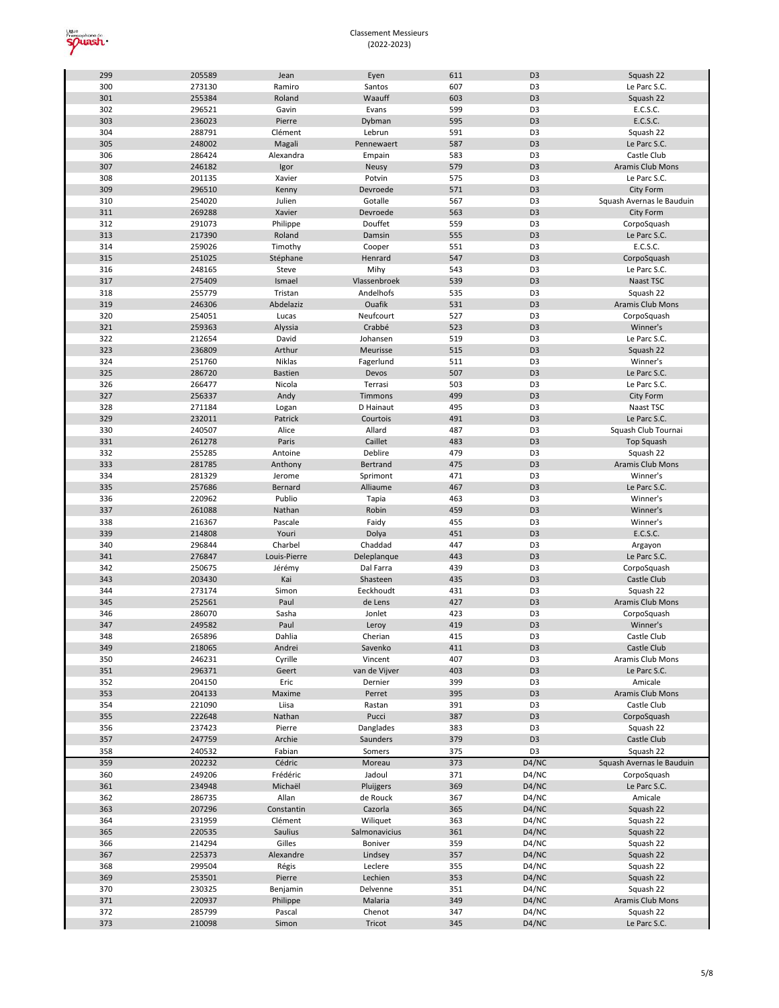

| 299 | 205589 | Jean           | Eyen          | 611 | D <sub>3</sub> | Squash 22                 |
|-----|--------|----------------|---------------|-----|----------------|---------------------------|
| 300 | 273130 | Ramiro         | Santos        | 607 | D <sub>3</sub> | Le Parc S.C.              |
| 301 | 255384 | Roland         | Waauff        | 603 | D <sub>3</sub> | Squash 22                 |
| 302 | 296521 | Gavin          | Evans         | 599 | D <sub>3</sub> | E.C.S.C.                  |
| 303 | 236023 | Pierre         | Dybman        | 595 | D <sub>3</sub> | E.C.S.C.                  |
|     |        |                |               |     |                |                           |
| 304 | 288791 | Clément        | Lebrun        | 591 | D <sub>3</sub> | Squash 22                 |
| 305 | 248002 | Magali         | Pennewaert    | 587 | D <sub>3</sub> | Le Parc S.C.              |
| 306 | 286424 | Alexandra      | Empain        | 583 | D <sub>3</sub> | Castle Club               |
| 307 | 246182 | Igor           | <b>Neusy</b>  | 579 | D <sub>3</sub> | Aramis Club Mons          |
| 308 | 201135 | Xavier         | Potvin        | 575 | D <sub>3</sub> | Le Parc S.C.              |
| 309 | 296510 | Kenny          | Devroede      | 571 | D <sub>3</sub> | <b>City Form</b>          |
| 310 | 254020 | Julien         | Gotalle       | 567 | D <sub>3</sub> | Squash Avernas le Bauduin |
| 311 | 269288 | Xavier         | Devroede      | 563 | D <sub>3</sub> | <b>City Form</b>          |
|     |        |                |               |     |                |                           |
| 312 | 291073 | Philippe       | Douffet       | 559 | D <sub>3</sub> | CorpoSquash               |
| 313 | 217390 | Roland         | Damsin        | 555 | D <sub>3</sub> | Le Parc S.C.              |
| 314 | 259026 | Timothy        | Cooper        | 551 | D <sub>3</sub> | E.C.S.C.                  |
| 315 | 251025 | Stéphane       | Henrard       | 547 | D <sub>3</sub> | CorpoSquash               |
| 316 | 248165 | Steve          | Mihy          | 543 | D <sub>3</sub> | Le Parc S.C.              |
| 317 | 275409 | Ismael         | Vlassenbroek  | 539 | D <sub>3</sub> | Naast TSC                 |
| 318 | 255779 | Tristan        | Andelhofs     | 535 | D <sub>3</sub> | Squash 22                 |
| 319 | 246306 | Abdelaziz      | Ouafik        | 531 | D <sub>3</sub> | Aramis Club Mons          |
|     |        |                |               |     |                |                           |
| 320 | 254051 | Lucas          | Neufcourt     | 527 | D <sub>3</sub> | CorpoSquash               |
| 321 | 259363 | Alyssia        | Crabbé        | 523 | D <sub>3</sub> | Winner's                  |
| 322 | 212654 | David          | Johansen      | 519 | D <sub>3</sub> | Le Parc S.C.              |
| 323 | 236809 | Arthur         | Meurisse      | 515 | D <sub>3</sub> | Squash 22                 |
| 324 | 251760 | Niklas         | Fagerlund     | 511 | D <sub>3</sub> | Winner's                  |
| 325 | 286720 | <b>Bastien</b> | Devos         | 507 | D <sub>3</sub> | Le Parc S.C.              |
| 326 | 266477 | Nicola         | Terrasi       | 503 | D <sub>3</sub> | Le Parc S.C.              |
| 327 | 256337 | Andy           | Timmons       | 499 | D <sub>3</sub> | <b>City Form</b>          |
|     |        |                |               |     |                |                           |
| 328 | 271184 | Logan          | D Hainaut     | 495 | D <sub>3</sub> | Naast TSC                 |
| 329 | 232011 | Patrick        | Courtois      | 491 | D <sub>3</sub> | Le Parc S.C.              |
| 330 | 240507 | Alice          | Allard        | 487 | D <sub>3</sub> | Squash Club Tournai       |
| 331 | 261278 | Paris          | Caillet       | 483 | D <sub>3</sub> | <b>Top Squash</b>         |
| 332 | 255285 | Antoine        | Deblire       | 479 | D <sub>3</sub> | Squash 22                 |
| 333 | 281785 | Anthony        | Bertrand      | 475 | D <sub>3</sub> | Aramis Club Mons          |
| 334 | 281329 | Jerome         | Sprimont      | 471 | D <sub>3</sub> | Winner's                  |
| 335 | 257686 | Bernard        | Alliaume      | 467 | D <sub>3</sub> | Le Parc S.C.              |
|     |        |                |               |     |                |                           |
| 336 | 220962 | Publio         | Tapia         | 463 | D <sub>3</sub> | Winner's                  |
| 337 | 261088 | Nathan         | Robin         | 459 | D <sub>3</sub> | Winner's                  |
| 338 | 216367 | Pascale        | Faidy         | 455 | D <sub>3</sub> | Winner's                  |
| 339 | 214808 | Youri          | Dolya         | 451 | D <sub>3</sub> | E.C.S.C.                  |
| 340 | 296844 | Charbel        | Chaddad       | 447 | D <sub>3</sub> | Argayon                   |
| 341 | 276847 | Louis-Pierre   | Deleplanque   | 443 | D <sub>3</sub> | Le Parc S.C.              |
| 342 | 250675 | Jérémy         | Dal Farra     | 439 | D <sub>3</sub> | CorpoSquash               |
| 343 | 203430 | Kai            | Shasteen      | 435 | D <sub>3</sub> | Castle Club               |
|     |        |                |               |     |                |                           |
| 344 | 273174 | Simon          | Eeckhoudt     | 431 | D <sub>3</sub> | Squash 22                 |
| 345 | 252561 | Paul           | de Lens       | 427 | D <sub>3</sub> | Aramis Club Mons          |
| 346 | 286070 | Sasha          | Jonlet        | 423 | D3             | CorpoSquash               |
| 347 | 249582 | Paul           | Leroy         |     |                |                           |
| 348 | 265896 |                |               | 419 | D <sub>3</sub> | Winner's                  |
| 349 |        | Dahlia         | Cherian       | 415 | D <sub>3</sub> | Castle Club               |
|     |        |                |               |     |                |                           |
|     | 218065 | Andrei         | Savenko       | 411 | D <sub>3</sub> | Castle Club               |
| 350 | 246231 | Cyrille        | Vincent       | 407 | D <sub>3</sub> | Aramis Club Mons          |
| 351 | 296371 | Geert          | van de Vijver | 403 | D <sub>3</sub> | Le Parc S.C.              |
| 352 | 204150 | Eric           | Dernier       | 399 | D <sub>3</sub> | Amicale                   |
| 353 | 204133 | Maxime         | Perret        | 395 | D <sub>3</sub> | Aramis Club Mons          |
| 354 | 221090 | Liisa          | Rastan        | 391 | D <sub>3</sub> | Castle Club               |
| 355 | 222648 | Nathan         | Pucci         | 387 | D <sub>3</sub> | CorpoSquash               |
| 356 | 237423 | Pierre         | Danglades     | 383 | D <sub>3</sub> | Squash 22                 |
|     |        |                |               | 379 |                |                           |
| 357 | 247759 | Archie         | Saunders      |     | D <sub>3</sub> | Castle Club               |
| 358 | 240532 | Fabian         | Somers        | 375 | D3             | Squash 22                 |
| 359 | 202232 | Cédric         | Moreau        | 373 | D4/NC          | Squash Avernas le Bauduin |
| 360 | 249206 | Frédéric       | Jadoul        | 371 | D4/NC          | CorpoSquash               |
| 361 | 234948 | Michaël        | Pluijgers     | 369 | D4/NC          | Le Parc S.C.              |
| 362 | 286735 | Allan          | de Rouck      | 367 | D4/NC          | Amicale                   |
| 363 | 207296 | Constantin     | Cazorla       | 365 | D4/NC          | Squash 22                 |
| 364 | 231959 | Clément        | Wiliquet      | 363 | D4/NC          | Squash 22                 |
|     |        |                |               |     |                |                           |
| 365 | 220535 | Saulius        | Salmonavicius | 361 | D4/NC          | Squash 22                 |
| 366 | 214294 | Gilles         | Boniver       | 359 | D4/NC          | Squash 22                 |
| 367 | 225373 | Alexandre      | Lindsey       | 357 | D4/NC          | Squash 22                 |
| 368 | 299504 | Régis          | Leclere       | 355 | D4/NC          | Squash 22                 |
| 369 | 253501 | Pierre         | Lechien       | 353 | D4/NC          | Squash 22                 |
| 370 | 230325 | Benjamin       | Delvenne      | 351 | D4/NC          | Squash 22                 |
| 371 | 220937 | Philippe       | Malaria       | 349 | D4/NC          | Aramis Club Mons          |
| 372 | 285799 | Pascal         | Chenot        | 347 | D4/NC          | Squash 22                 |
| 373 | 210098 | Simon          | Tricot        | 345 | D4/NC          | Le Parc S.C.              |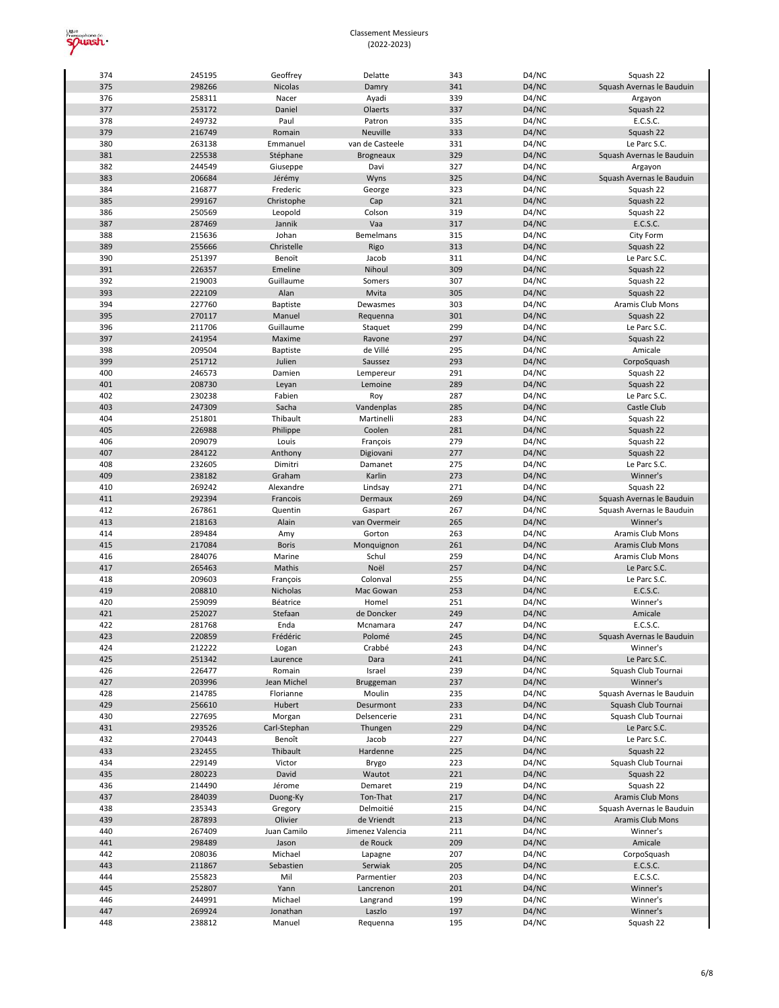

| 374        | 245195           | Geoffrey           | Delatte            | 343        | D4/NC          | Squash 22                 |
|------------|------------------|--------------------|--------------------|------------|----------------|---------------------------|
| 375        | 298266           | Nicolas            | Damry              | 341        | D4/NC          | Squash Avernas le Bauduin |
| 376        | 258311           | Nacer              | Ayadi              | 339        | D4/NC          | Argayon                   |
| 377        | 253172           | Daniel             | Olaerts            | 337        | D4/NC          | Squash 22                 |
| 378        |                  | Paul               |                    |            |                |                           |
|            | 249732           |                    | Patron             | 335        | D4/NC          | E.C.S.C.                  |
| 379        | 216749           | Romain             | Neuville           | 333        | D4/NC          | Squash 22                 |
| 380        | 263138           | Emmanuel           | van de Casteele    | 331        | D4/NC          | Le Parc S.C.              |
| 381        | 225538           | Stéphane           | <b>Brogneaux</b>   | 329        | D4/NC          | Squash Avernas le Bauduin |
| 382        | 244549           | Giuseppe           | Davi               | 327        | D4/NC          | Argayon                   |
| 383        | 206684           | Jérémy             | Wyns               | 325        | D4/NC          | Squash Avernas le Bauduin |
| 384        | 216877           | Frederic           | George             | 323        | D4/NC          | Squash 22                 |
| 385        | 299167           | Christophe         | Cap                | 321        | D4/NC          | Squash 22                 |
|            |                  |                    |                    |            |                |                           |
| 386        | 250569           | Leopold            | Colson             | 319        | D4/NC          | Squash 22                 |
| 387        | 287469           | Jannik             | Vaa                | 317        | D4/NC          | E.C.S.C.                  |
| 388        | 215636           | Johan              | <b>Bemelmans</b>   | 315        | D4/NC          | City Form                 |
| 389        | 255666           | Christelle         | Rigo               | 313        | D4/NC          | Squash 22                 |
| 390        | 251397           | Benoït             | Jacob              | 311        | D4/NC          | Le Parc S.C.              |
| 391        | 226357           | Emeline            | Nihoul             | 309        | D4/NC          | Squash 22                 |
| 392        | 219003           | Guillaume          | Somers             | 307        | D4/NC          | Squash 22                 |
| 393        | 222109           | Alan               | Mvita              | 305        | D4/NC          | Squash 22                 |
| 394        |                  |                    | Dewasmes           | 303        |                |                           |
|            | 227760           | Baptiste           |                    |            | D4/NC          | Aramis Club Mons          |
| 395        | 270117           | Manuel             | Requenna           | 301        | D4/NC          | Squash 22                 |
| 396        | 211706           | Guillaume          | Staquet            | 299        | D4/NC          | Le Parc S.C.              |
| 397        | 241954           | Maxime             | Ravone             | 297        | D4/NC          | Squash 22                 |
| 398        | 209504           | <b>Baptiste</b>    | de Villé           | 295        | D4/NC          | Amicale                   |
| 399        | 251712           | Julien             | Saussez            | 293        | D4/NC          | CorpoSquash               |
| 400        | 246573           | Damien             | Lempereur          | 291        | D4/NC          | Squash 22                 |
| 401        | 208730           | Leyan              | Lemoine            | 289        | D4/NC          | Squash 22                 |
| 402        | 230238           | Fabien             | Roy                | 287        | D4/NC          | Le Parc S.C.              |
|            |                  |                    |                    |            |                |                           |
| 403        | 247309           | Sacha              | Vandenplas         | 285        | D4/NC          | Castle Club               |
| 404        | 251801           | Thibault           | Martinelli         | 283        | D4/NC          | Squash 22                 |
| 405        | 226988           | Philippe           | Coolen             | 281        | D4/NC          | Squash 22                 |
| 406        | 209079           | Louis              | François           | 279        | D4/NC          | Squash 22                 |
| 407        | 284122           | Anthony            | Digiovani          | 277        | D4/NC          | Squash 22                 |
| 408        | 232605           | Dimitri            | Damanet            | 275        | D4/NC          | Le Parc S.C.              |
| 409        | 238182           | Graham             | Karlin             | 273        | D4/NC          | Winner's                  |
|            |                  |                    |                    |            |                |                           |
| 410        | 269242           | Alexandre          | Lindsay            | 271        | D4/NC          | Squash 22                 |
| 411        | 292394           | Francois           | Dermaux            | 269        | D4/NC          | Squash Avernas le Bauduin |
| 412        | 267861           | Quentin            | Gaspart            | 267        | D4/NC          | Squash Avernas le Bauduin |
| 413        | 218163           | Alain              | van Overmeir       | 265        | D4/NC          | Winner's                  |
| 414        | 289484           | Amy                | Gorton             | 263        | D4/NC          | Aramis Club Mons          |
| 415        |                  |                    |                    | 261        | D4/NC          | <b>Aramis Club Mons</b>   |
|            |                  |                    |                    |            |                |                           |
|            | 217084           | <b>Boris</b>       | Monquignon         |            |                |                           |
| 416        | 284076           | Marine             | Schul              | 259        | D4/NC          | Aramis Club Mons          |
| 417        | 265463           | Mathis             | Noël               | 257        | D4/NC          | Le Parc S.C.              |
| 418        | 209603           | François           | Colonval           | 255        | D4/NC          | Le Parc S.C.              |
| 419        | 208810           | Nicholas           | Mac Gowan          | 253        | D4/NC          | E.C.S.C.                  |
| 420        | 259099           | Béatrice           | Homel              | 251        | D4/NC          | Winner's                  |
| 421        | 252027           | Stefaan            | de Doncker         | 249        | D4/NC          | Amicale                   |
| 422        | 281768           | Enda               | Mcnamara           | 247        | D4/NC          | E.C.S.C.                  |
|            |                  |                    |                    |            |                |                           |
| 423        | 220859           | Frédéric           | Polomé             | 245        | D4/NC          | Squash Avernas le Bauduin |
| 424        | 212222           | Logan              | Crabbé             | 243        | D4/NC          | Winner's                  |
| 425        | 251342           | Laurence           | Dara               | 241        | D4/NC          | Le Parc S.C.              |
| 426        | 226477           | Romain             | Israel             | 239        | D4/NC          | Squash Club Tournai       |
| 427        | 203996           | Jean Michel        | Bruggeman          | 237        | D4/NC          | Winner's                  |
| 428        | 214785           | Florianne          | Moulin             | 235        | D4/NC          | Squash Avernas le Bauduin |
| 429        | 256610           | Hubert             | Desurmont          | 233        | D4/NC          | Squash Club Tournai       |
| 430        | 227695           | Morgan             | Delsencerie        | 231        | D4/NC          | Squash Club Tournai       |
|            |                  |                    |                    |            |                |                           |
| 431        | 293526           | Carl-Stephan       | Thungen            | 229        | D4/NC          | Le Parc S.C.              |
| 432        | 270443           | Benoît             | Jacob              | 227        | D4/NC          | Le Parc S.C.              |
| 433        | 232455           | Thibault           | Hardenne           | 225        | D4/NC          | Squash 22                 |
| 434        | 229149           | Victor             | Brygo              | 223        | D4/NC          | Squash Club Tournai       |
| 435        | 280223           | David              | Wautot             | 221        | D4/NC          | Squash 22                 |
| 436        | 214490           | Jérome             | Demaret            | 219        | D4/NC          | Squash 22                 |
| 437        | 284039           | Duong-Ky           | Ton-That           | 217        | D4/NC          | Aramis Club Mons          |
| 438        | 235343           |                    | Delmoitié          | 215        | D4/NC          | Squash Avernas le Bauduin |
|            |                  | Gregory            |                    |            |                |                           |
| 439        | 287893           | Olivier            | de Vriendt         | 213        | D4/NC          | Aramis Club Mons          |
| 440        | 267409           | Juan Camilo        | Jimenez Valencia   | 211        | D4/NC          | Winner's                  |
| 441        | 298489           | Jason              | de Rouck           | 209        | D4/NC          | Amicale                   |
| 442        | 208036           | Michael            | Lapagne            | 207        | D4/NC          | CorpoSquash               |
| 443        | 211867           | Sebastien          | Serwiak            | 205        | D4/NC          | E.C.S.C.                  |
| 444        | 255823           | Mil                | Parmentier         | 203        | D4/NC          | E.C.S.C.                  |
| 445        | 252807           | Yann               | Lancrenon          | 201        | D4/NC          | Winner's                  |
| 446        | 244991           | Michael            |                    | 199        | D4/NC          | Winner's                  |
|            |                  |                    | Langrand           |            |                |                           |
| 447<br>448 | 269924<br>238812 | Jonathan<br>Manuel | Laszlo<br>Requenna | 197<br>195 | D4/NC<br>D4/NC | Winner's<br>Squash 22     |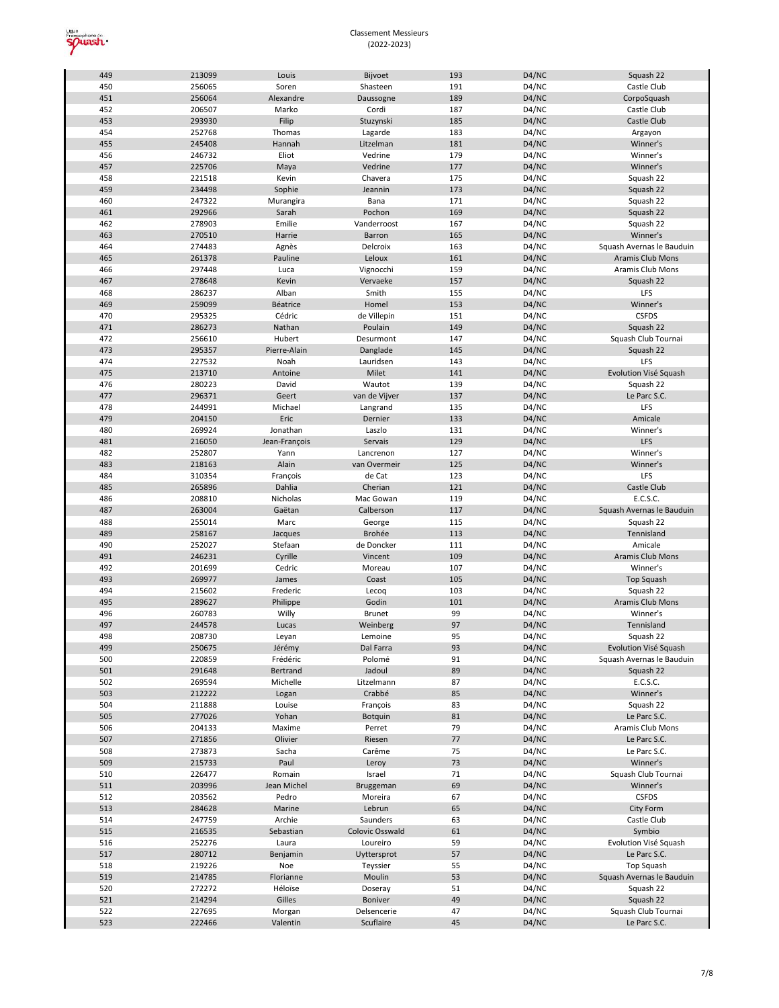

| 449        | 213099           | Louis              | Bijvoet                  | 193      | D4/NC          | Squash 22                           |
|------------|------------------|--------------------|--------------------------|----------|----------------|-------------------------------------|
| 450        | 256065           | Soren              | Shasteen                 | 191      | D4/NC          | Castle Club                         |
| 451        | 256064           | Alexandre          | Daussogne                | 189      | D4/NC          | CorpoSquash                         |
| 452        | 206507           | Marko              | Cordi                    | 187      | D4/NC          | Castle Club                         |
|            |                  |                    |                          |          |                |                                     |
| 453        | 293930           | Filip              | Stuzynski                | 185      | D4/NC          | Castle Club                         |
| 454        | 252768           | Thomas             | Lagarde                  | 183      | D4/NC          | Argayon                             |
| 455        | 245408           | Hannah             | Litzelman                | 181      | D4/NC          | Winner's                            |
| 456        | 246732           | Eliot              | Vedrine                  | 179      | D4/NC          | Winner's                            |
| 457        | 225706           | Maya               | Vedrine                  | 177      | D4/NC          | Winner's                            |
| 458        | 221518           | Kevin              | Chavera                  | 175      | D4/NC          | Squash 22                           |
| 459        | 234498           | Sophie             | Jeannin                  | 173      | D4/NC          | Squash 22                           |
| 460        | 247322           |                    | Bana                     | 171      | D4/NC          |                                     |
|            |                  | Murangira          |                          |          |                | Squash 22                           |
| 461        | 292966           | Sarah              | Pochon                   | 169      | D4/NC          | Squash 22                           |
| 462        | 278903           | Emilie             | Vanderroost              | 167      | D4/NC          | Squash 22                           |
| 463        | 270510           | Harrie             | Barron                   | 165      | D4/NC          | Winner's                            |
| 464        | 274483           | Agnès              | Delcroix                 | 163      | D4/NC          | Squash Avernas le Bauduin           |
| 465        | 261378           | Pauline            | Leloux                   | 161      | D4/NC          | <b>Aramis Club Mons</b>             |
| 466        | 297448           | Luca               | Vignocchi                | 159      | D4/NC          | Aramis Club Mons                    |
| 467        | 278648           | Kevin              | Vervaeke                 | 157      | D4/NC          | Squash 22                           |
| 468        |                  | Alban              | Smith                    | 155      |                | LFS                                 |
|            | 286237           |                    |                          |          | D4/NC          |                                     |
| 469        | 259099           | Béatrice           | Homel                    | 153      | D4/NC          | Winner's                            |
| 470        | 295325           | Cédric             | de Villepin              | 151      | D4/NC          | <b>CSFDS</b>                        |
| 471        | 286273           | Nathan             | Poulain                  | 149      | D4/NC          | Squash 22                           |
| 472        | 256610           | Hubert             | Desurmont                | 147      | D4/NC          | Squash Club Tournai                 |
| 473        | 295357           | Pierre-Alain       | Danglade                 | 145      | D4/NC          | Squash 22                           |
| 474        | 227532           | Noah               | Lauridsen                | 143      | D4/NC          | LFS                                 |
| 475        | 213710           | Antoine            | Milet                    | 141      | D4/NC          | Evolution Visé Squash               |
|            |                  |                    |                          |          |                |                                     |
| 476        | 280223           | David              | Wautot                   | 139      | D4/NC          | Squash 22                           |
| 477        | 296371           | Geert              | van de Vijver            | 137      | D4/NC          | Le Parc S.C.                        |
| 478        | 244991           | Michael            | Langrand                 | 135      | D4/NC          | LFS                                 |
| 479        | 204150           | Eric               | Dernier                  | 133      | D4/NC          | Amicale                             |
| 480        | 269924           | Jonathan           | Laszlo                   | 131      | D4/NC          | Winner's                            |
| 481        | 216050           | Jean-François      | Servais                  | 129      | D4/NC          | LFS                                 |
| 482        | 252807           | Yann               | Lancrenon                | 127      | D4/NC          | Winner's                            |
| 483        | 218163           | Alain              | van Overmeir             | 125      | D4/NC          | Winner's                            |
|            |                  |                    |                          |          |                | LFS                                 |
| 484        | 310354           | François           | de Cat                   | 123      | D4/NC          |                                     |
| 485        | 265896           | Dahlia             | Cherian                  | 121      | D4/NC          | Castle Club                         |
| 486        | 208810           | Nicholas           | Mac Gowan                | 119      | D4/NC          | E.C.S.C.                            |
| 487        | 263004           | Gaëtan             | Calberson                | 117      | D4/NC          | Squash Avernas le Bauduin           |
| 488        | 255014           | Marc               | George                   | 115      | D4/NC          | Squash 22                           |
| 489        | 258167           | Jacques            | Brohée                   | 113      | D4/NC          | Tennisland                          |
| 490        | 252027           | Stefaan            | de Doncker               | 111      | D4/NC          | Amicale                             |
| 491        | 246231           | Cyrille            | Vincent                  | 109      | D4/NC          | Aramis Club Mons                    |
|            |                  |                    |                          |          |                |                                     |
| 492        | 201699           | Cedric             | Moreau                   | 107      | D4/NC          | Winner's                            |
| 493        | 269977           | James              | Coast                    | 105      | D4/NC          | <b>Top Squash</b>                   |
| 494        | 215602           | Frederic           | Lecoq                    | 103      | D4/NC          | Squash 22                           |
| 495        | 289627           | Philippe           | Godin                    | 101      | D4/NC          | Aramis Club Mons                    |
| 496        | 260783           | Willy              | Brunet                   |          |                |                                     |
| 497        | 244578           |                    |                          | 99       | D4/NC          | Winner's                            |
| 498        |                  |                    |                          | 97       |                | Tennisland                          |
|            |                  | Lucas              | Weinberg                 |          | D4/NC          |                                     |
|            | 208730           | Leyan              | Lemoine                  | 95       | D4/NC          | Squash 22                           |
| 499        | 250675           | Jérémy             | Dal Farra                | 93       | D4/NC          | Evolution Visé Squash               |
| 500        | 220859           | Frédéric           | Polomé                   | 91       | D4/NC          | Squash Avernas le Bauduin           |
| 501        | 291648           | Bertrand           | Jadoul                   | 89       | D4/NC          | Squash 22                           |
| 502        | 269594           | Michelle           | Litzelmann               | 87       | D4/NC          | E.C.S.C.                            |
| 503        | 212222           | Logan              | Crabbé                   | 85       | D4/NC          | Winner's                            |
| 504        | 211888           | Louise             | François                 | 83       | D4/NC          | Squash 22                           |
| 505        | 277026           | Yohan              | <b>Botquin</b>           | 81       |                | Le Parc S.C.                        |
|            |                  |                    |                          |          | D4/NC          |                                     |
| 506        | 204133           | Maxime             | Perret                   | 79       | D4/NC          | Aramis Club Mons                    |
| 507        | 271856           | Olivier            | Riesen                   | 77       | D4/NC          | Le Parc S.C.                        |
| 508        | 273873           | Sacha              | Carême                   | 75       | D4/NC          | Le Parc S.C.                        |
| 509        | 215733           | Paul               | Leroy                    | 73       | D4/NC          | Winner's                            |
| 510        | 226477           | Romain             | Israel                   | 71       | D4/NC          | Squash Club Tournai                 |
| 511        | 203996           | Jean Michel        | Bruggeman                | 69       | D4/NC          | Winner's                            |
| 512        | 203562           | Pedro              | Moreira                  | 67       | D4/NC          | <b>CSFDS</b>                        |
| 513        | 284628           | Marine             | Lebrun                   | 65       | D4/NC          | City Form                           |
|            |                  |                    |                          |          |                |                                     |
| 514        | 247759           | Archie             | Saunders                 | 63       | D4/NC          | Castle Club                         |
| 515        | 216535           | Sebastian          | Colovic Osswald          | 61       | D4/NC          | Symbio                              |
| 516        | 252276           | Laura              | Loureiro                 | 59       | D4/NC          | Evolution Visé Squash               |
| 517        | 280712           | Benjamin           | Uyttersprot              | 57       | D4/NC          | Le Parc S.C.                        |
| 518        | 219226           | Noe                | Teyssier                 | 55       | D4/NC          | Top Squash                          |
| 519        | 214785           | Florianne          | Moulin                   | 53       | D4/NC          | Squash Avernas le Bauduin           |
| 520        | 272272           | Héloïse            | Doseray                  | 51       | D4/NC          | Squash 22                           |
| 521        | 214294           | Gilles             | Boniver                  | 49       | D4/NC          | Squash 22                           |
|            |                  |                    |                          |          |                |                                     |
| 522<br>523 | 227695<br>222466 | Morgan<br>Valentin | Delsencerie<br>Scuflaire | 47<br>45 | D4/NC<br>D4/NC | Squash Club Tournai<br>Le Parc S.C. |